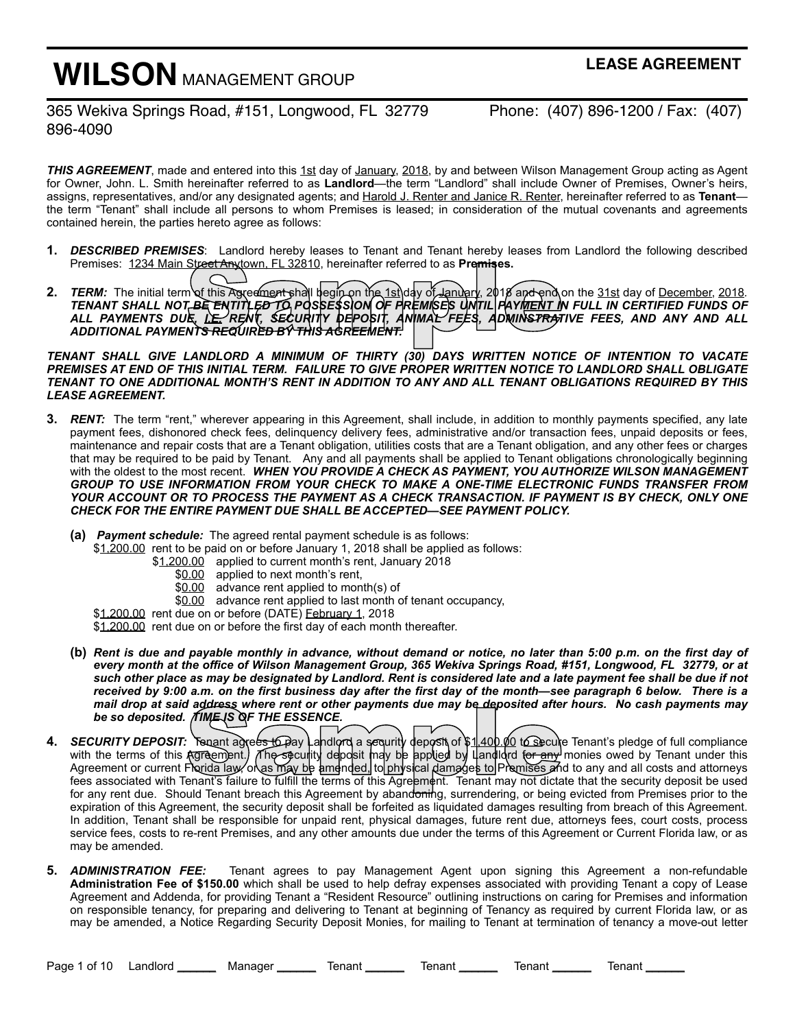# **WILSON** MANAGEMENT GROUP

**LEASE AGREEMENT**

365 Wekiva Springs Road, #151, Longwood, FL 32779 Phone: (407) 896-1200 / Fax: (407) 896-4090

*THIS AGREEMENT*, made and entered into this 1st day of January, 2018, by and between Wilson Management Group acting as Agent for Owner, John. L. Smith hereinafter referred to as **Landlord**—the term "Landlord" shall include Owner of Premises, Owner's heirs, assigns, representatives, and/or any designated agents; and Harold J. Renter and Janice R. Renter, hereinafter referred to as **Tenant** the term "Tenant" shall include all persons to whom Premises is leased; in consideration of the mutual covenants and agreements contained herein, the parties hereto agree as follows:

- **1.** *DESCRIBED PREMISES*:Landlord hereby leases to Tenant and Tenant hereby leases from Landlord the following described Premises: 1234 Main Street Anytown, FL 32810, hereinafter referred to as **Premises.**
- **2.** *TERM:* The initial term of this Agreement shall begin on the 1st day of January, 2018 and end on the 31st day of December, 2018*. TENANT SHALL NOT BE ENTITLED TO POSSESSION OF PREMISES UNTIL PAYMENT IN FULL IN CERTIFIED FUNDS OF ALL PAYMENTS DUE, I.E. RENT, SECURITY DEPOSIT, ANIMAL FEES, ADMINSTRATIVE FEES, AND ANY AND ALL ADDITIONAL PAYMENTS REQUIRED BY THIS AGREEMENT.* Street Anytown, FL 32810, hereinafter referred to as **Premises.**<br>In of this Agreement shall begin on the 1st day of January, 2018 and end of<br>T.BE ENTITLED TO POSSESSION OF PREMISES UNTIL PAYMENT IN THE RENT, SECURITY DEPOS

*TENANT SHALL GIVE LANDLORD A MINIMUM OF THIRTY (30) DAYS WRITTEN NOTICE OF INTENTION TO VACATE PREMISES AT END OF THIS INITIAL TERM. FAILURE TO GIVE PROPER WRITTEN NOTICE TO LANDLORD SHALL OBLIGATE TENANT TO ONE ADDITIONAL MONTH'S RENT IN ADDITION TO ANY AND ALL TENANT OBLIGATIONS REQUIRED BY THIS LEASE AGREEMENT.* 

- **3.** *RENT:* The term "rent," wherever appearing in this Agreement, shall include, in addition to monthly payments specified, any late payment fees, dishonored check fees, delinquency delivery fees, administrative and/or transaction fees, unpaid deposits or fees, maintenance and repair costs that are a Tenant obligation, utilities costs that are a Tenant obligation, and any other fees or charges that may be required to be paid by Tenant. Any and all payments shall be applied to Tenant obligations chronologically beginning with the oldest to the most recent. *WHEN YOU PROVIDE A CHECK AS PAYMENT, YOU AUTHORIZE WILSON MANAGEMENT GROUP TO USE INFORMATION FROM YOUR CHECK TO MAKE A ONE-TIME ELECTRONIC FUNDS TRANSFER FROM YOUR ACCOUNT OR TO PROCESS THE PAYMENT AS A CHECK TRANSACTION. IF PAYMENT IS BY CHECK, ONLY ONE CHECK FOR THE ENTIRE PAYMENT DUE SHALL BE ACCEPTED—SEE PAYMENT POLICY.*
	- **(a)** *Payment schedule:* The agreed rental payment schedule is as follows:
		- \$1,200.00 rent to be paid on or before January 1, 2018 shall be applied as follows:
			- \$1,200.00 applied to current month's rent, January 2018
				- \$0.00 applied to next month's rent,
				- \$0.00 advance rent applied to month(s) of
				- \$0.00 advance rent applied to last month of tenant occupancy,

\$1,200.00 rent due on or before (DATE) February 1, 2018

\$1,200.00 rent due on or before the first day of each month thereafter.

- **(b)** *Rent is due and payable monthly in advance, without demand or notice, no later than 5:00 p.m. on the first day of every month at the office of Wilson Management Group, 365 Wekiva Springs Road, #151, Longwood, FL 32779, or at such other place as may be designated by Landlord. Rent is considered late and a late payment fee shall be due if not received by 9:00 a.m. on the first business day after the first day of the month—see paragraph 6 below. There is a mail drop at said address where rent or other payments due may be deposited after hours. No cash payments may be so deposited. TIME IS OF THE ESSENCE.*
- **4.** *SECURITY DEPOSIT:* Tenant agrees to pay Landlord a sequrity deposit of \$1,400.00 to secure Tenant's pledge of full compliance with the terms of this Agreement.) The seculity deposit may be applied by LandIdrd for any monies owed by Tenant under this Agreement or current Florida law, or as may be amended, to physical damages to Premises and to any and all costs and attorneys fees associated with Tenant's failure to fulfill the terms of this Agreem¢nt. Tenant may not dictate that the security deposit be used mail drop at said address where rent or other payments due may be deposited after hours. No cash payments may<br>be so deposited. TIME IS OF THE ESSENCE.<br>SECURITY DEPOSIT: Tenant agrees to Pay and lord a security deposit of \$ expiration of this Agreement, the security deposit shall be forfeited as liquidated damages resulting from breach of this Agreement. In addition, Tenant shall be responsible for unpaid rent, physical damages, future rent due, attorneys fees, court costs, process service fees, costs to re-rent Premises, and any other amounts due under the terms of this Agreement or Current Florida law, or as may be amended.
- **5.** *ADMINISTRATION FEE:* Tenant agrees to pay Management Agent upon signing this Agreement a non-refundable **Administration Fee of \$150.00** which shall be used to help defray expenses associated with providing Tenant a copy of Lease Agreement and Addenda, for providing Tenant a "Resident Resource" outlining instructions on caring for Premises and information on responsible tenancy, for preparing and delivering to Tenant at beginning of Tenancy as required by current Florida law, or as may be amended, a Notice Regarding Security Deposit Monies, for mailing to Tenant at termination of tenancy a move-out letter

Page 1 of 10 Landlord \_\_\_\_\_\_ Manager \_\_\_\_\_\_ Tenant \_\_\_\_\_\_ Tenant \_\_\_\_\_\_ Tenant \_\_\_\_\_\_ Tenant \_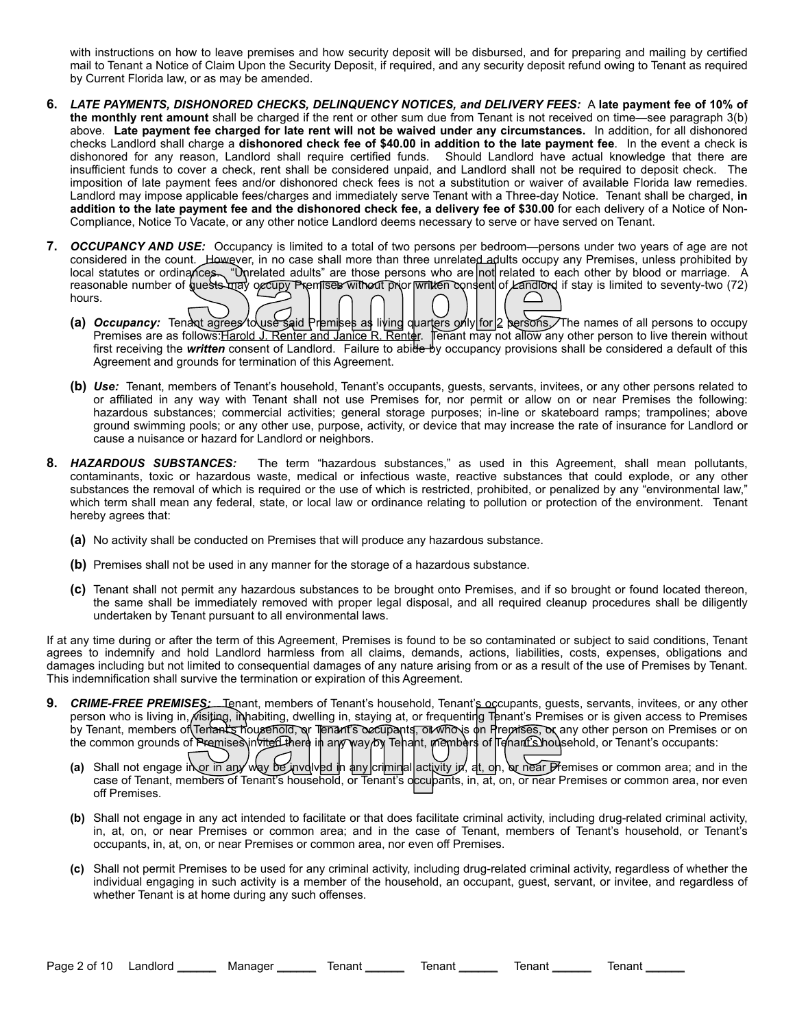with instructions on how to leave premises and how security deposit will be disbursed, and for preparing and mailing by certified mail to Tenant a Notice of Claim Upon the Security Deposit, if required, and any security deposit refund owing to Tenant as required by Current Florida law, or as may be amended.

- **6.** *LATE PAYMENTS, DISHONORED CHECKS, DELINQUENCY NOTICES, and DELIVERY FEES:* A **late payment fee of 10% of the monthly rent amount** shall be charged if the rent or other sum due from Tenant is not received on time—see paragraph 3(b) above. **Late payment fee charged for late rent will not be waived under any circumstances.** In addition, for all dishonored checks Landlord shall charge a **dishonored check fee of \$40.00 in addition to the late payment fee**. In the event a check is dishonored for any reason, Landlord shall require certified funds. Should Landlord have actual knowledge that there are insufficient funds to cover a check, rent shall be considered unpaid, and Landlord shall not be required to deposit check. The imposition of late payment fees and/or dishonored check fees is not a substitution or waiver of available Florida law remedies. Landlord may impose applicable fees/charges and immediately serve Tenant with a Three-day Notice. Tenant shall be charged, **in addition to the late payment fee and the dishonored check fee, a delivery fee of \$30.00** for each delivery of a Notice of Non-Compliance, Notice To Vacate, or any other notice Landlord deems necessary to serve or have served on Tenant.
- **7.** *OCCUPANCY AND USE:* Occupancy is limited to a total of two persons per bedroom—persons under two years of age are not considered in the count. However, in no case shall more than three unrelated adults occupy any Premises, unless prohibited by local statutes or ordinances. "Unrelated adults" are those persons who are not related to each other by blood or marriage. A reasonable number of guests may occupy Premises without prior written consent of Landlord if stay is limited to seventy-two (72) hours. First receiving the **written** consent of Landlord. Failure to abide by occupancy provisions shall be considered a default of this first receiving the **written** consent of Landlord. Failure to abide by occupancy: Tendant ag
	- **(a)** *Occupancy:* Tenant agrees to use said Premises as living quarters only for 2 persons. The names of all persons to occupy Premises are as follows: Harold J. Renter and Janice R. Renter. Tenant may not allow any other person to live therein without Agreement and grounds for termination of this Agreement.
	- **(b)** *Use:* Tenant, members of Tenant's household, Tenant's occupants, guests, servants, invitees, or any other persons related to or affiliated in any way with Tenant shall not use Premises for, nor permit or allow on or near Premises the following: hazardous substances; commercial activities; general storage purposes; in-line or skateboard ramps; trampolines; above ground swimming pools; or any other use, purpose, activity, or device that may increase the rate of insurance for Landlord or cause a nuisance or hazard for Landlord or neighbors.
- **8.** *HAZARDOUS SUBSTANCES:* The term "hazardous substances," as used in this Agreement, shall mean pollutants, contaminants, toxic or hazardous waste, medical or infectious waste, reactive substances that could explode, or any other substances the removal of which is required or the use of which is restricted, prohibited, or penalized by any "environmental law," which term shall mean any federal, state, or local law or ordinance relating to pollution or protection of the environment. Tenant hereby agrees that:
	- **(a)** No activity shall be conducted on Premises that will produce any hazardous substance.
	- **(b)** Premises shall not be used in any manner for the storage of a hazardous substance.
	- **(c)** Tenant shall not permit any hazardous substances to be brought onto Premises, and if so brought or found located thereon, the same shall be immediately removed with proper legal disposal, and all required cleanup procedures shall be diligently undertaken by Tenant pursuant to all environmental laws.

If at any time during or after the term of this Agreement, Premises is found to be so contaminated or subject to said conditions, Tenant agrees to indemnify and hold Landlord harmless from all claims, demands, actions, liabilities, costs, expenses, obligations and damages including but not limited to consequential damages of any nature arising from or as a result of the use of Premises by Tenant. This indemnification shall survive the termination or expiration of this Agreement.

- **9.** *CRIME-FREE PREMISES:* Tenant, members of Tenant's household, Tenant's occupants, guests, servants, invitees, or any other person who is living in, visiting, inhabiting, dwelling in, staying at, or frequenting Tenant's Premises or is given access to Premises by Tenant, members of Tenant's household, or Tenant's occupants, or who is on Premises, or any other person on Premises or on the common grounds of Premises invited there in any way by Tenant, members of Tenant's household, or Tenant's occupants: WE-FREE PREMISES: Lienant, members of Tenant's household, Tenant's occupants, guests, servants, invitees, or any other<br>enant, members of Tenant's household, or Tenant's occupants, or movies on Premises or is given access t
	- **(a)** Shall not engage in or in any way be involved in any criminal activity in, at, on, or near Premises or common area; and in the off Premises.
	- **(b)** Shall not engage in any act intended to facilitate or that does facilitate criminal activity, including drug-related criminal activity, in, at, on, or near Premises or common area; and in the case of Tenant, members of Tenant's household, or Tenant's occupants, in, at, on, or near Premises or common area, nor even off Premises.
	- **(c)** Shall not permit Premises to be used for any criminal activity, including drug-related criminal activity, regardless of whether the individual engaging in such activity is a member of the household, an occupant, guest, servant, or invitee, and regardless of whether Tenant is at home during any such offenses.

Page 2 of 10 Landlord \_\_\_\_\_\_\_ Manager \_\_\_\_\_\_\_ Tenant \_\_\_\_\_\_\_ Tenant \_\_\_\_\_\_\_ Tenant \_\_\_\_\_\_ Tenant \_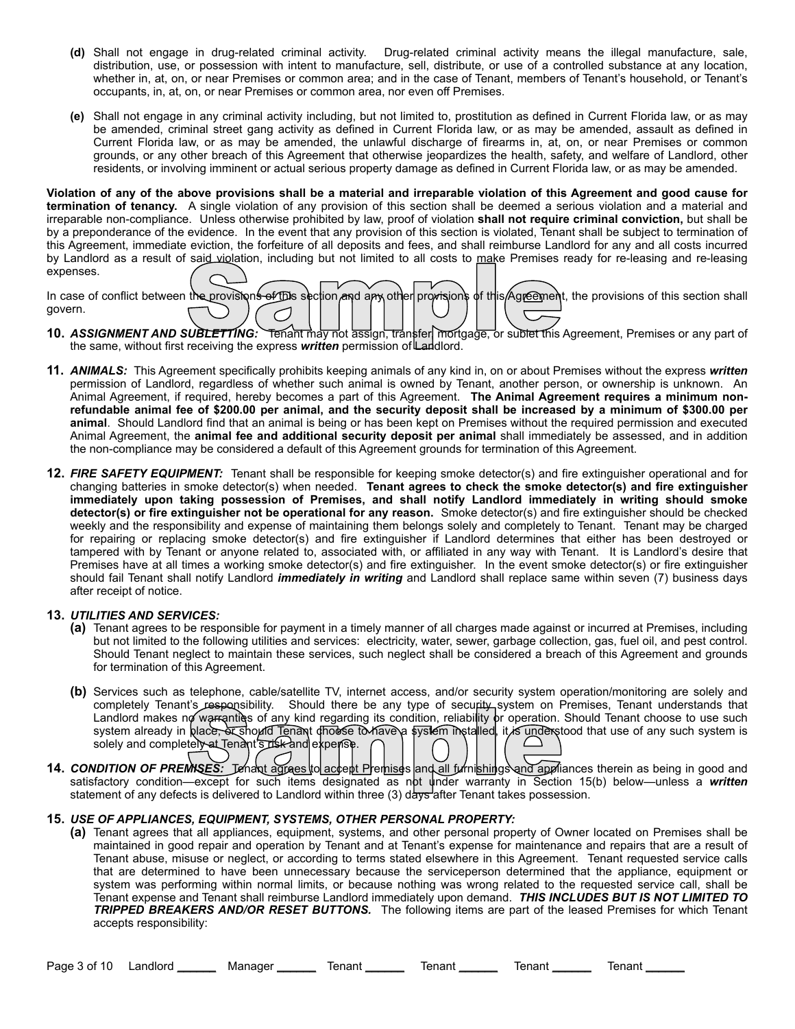- **(d)** Shall not engage in drug-related criminal activity. Drug-related criminal activity means the illegal manufacture, sale, distribution, use, or possession with intent to manufacture, sell, distribute, or use of a controlled substance at any location, whether in, at, on, or near Premises or common area; and in the case of Tenant, members of Tenant's household, or Tenant's occupants, in, at, on, or near Premises or common area, nor even off Premises.
- **(e)** Shall not engage in any criminal activity including, but not limited to, prostitution as defined in Current Florida law, or as may be amended, criminal street gang activity as defined in Current Florida law, or as may be amended, assault as defined in Current Florida law, or as may be amended, the unlawful discharge of firearms in, at, on, or near Premises or common grounds, or any other breach of this Agreement that otherwise jeopardizes the health, safety, and welfare of Landlord, other residents, or involving imminent or actual serious property damage as defined in Current Florida law, or as may be amended.

**Violation of any of the above provisions shall be a material and irreparable violation of this Agreement and good cause for termination of tenancy.** A single violation of any provision of this section shall be deemed a serious violation and a material and irreparable non-compliance. Unless otherwise prohibited by law, proof of violation **shall not require criminal conviction,** but shall be by a preponderance of the evidence. In the event that any provision of this section is violated, Tenant shall be subject to termination of this Agreement, immediate eviction, the forfeiture of all deposits and fees, and shall reimburse Landlord for any and all costs incurred by Landlord as a result of said violation, including but not limited to all costs to make Premises ready for re-leasing and re-leasing expenses.

| by Landroid as a result of said violation, including but not immed to all costs to make Premises ready for re-leasing and re-leasing        |  |
|---------------------------------------------------------------------------------------------------------------------------------------------|--|
| expenses.                                                                                                                                   |  |
| In case of conflict between the provisions of this section and any other provisions of this Agreement, the provisions of this section shall |  |
|                                                                                                                                             |  |
| govern.                                                                                                                                     |  |
|                                                                                                                                             |  |
| 10. ASSIGNMENT AND SUBLETTING: Tenant may not assign, transfer mortgage, or subtet this Agreement, Premises or any part of                  |  |
|                                                                                                                                             |  |
| the same, without first receiving the express <b>written</b> permission of Landlord.                                                        |  |

- **10.** *ASSIGNMENT AND SUBLETTING:* Tenant may not assign, transfer, mortgage, or sublet this Agreement, Premises or any part of the same, without first receiving the express *written* permission of Landlord.
- **11.** *ANIMALS:* This Agreement specifically prohibits keeping animals of any kind in, on or about Premises without the express *written*  permission of Landlord, regardless of whether such animal is owned by Tenant, another person, or ownership is unknown. An Animal Agreement, if required, hereby becomes a part of this Agreement. **The Animal Agreement requires a minimum nonrefundable animal fee of \$200.00 per animal, and the security deposit shall be increased by a minimum of \$300.00 per animal**. Should Landlord find that an animal is being or has been kept on Premises without the required permission and executed Animal Agreement, the **animal fee and additional security deposit per animal** shall immediately be assessed, and in addition the non-compliance may be considered a default of this Agreement grounds for termination of this Agreement.
- **12.** *FIRE SAFETY EQUIPMENT:* Tenant shall be responsible for keeping smoke detector(s) and fire extinguisher operational and for changing batteries in smoke detector(s) when needed. **Tenant agrees to check the smoke detector(s) and fire extinguisher immediately upon taking possession of Premises, and shall notify Landlord immediately in writing should smoke detector(s) or fire extinguisher not be operational for any reason.** Smoke detector(s) and fire extinguisher should be checked weekly and the responsibility and expense of maintaining them belongs solely and completely to Tenant. Tenant may be charged for repairing or replacing smoke detector(s) and fire extinguisher if Landlord determines that either has been destroyed or tampered with by Tenant or anyone related to, associated with, or affiliated in any way with Tenant. It is Landlord's desire that Premises have at all times a working smoke detector(s) and fire extinguisher. In the event smoke detector(s) or fire extinguisher should fail Tenant shall notify Landlord *immediately in writing* and Landlord shall replace same within seven (7) business days after receipt of notice.

# **13.** *UTILITIES AND SERVICES:*

- **(a)** Tenant agrees to be responsible for payment in a timely manner of all charges made against or incurred at Premises, including but not limited to the following utilities and services: electricity, water, sewer, garbage collection, gas, fuel oil, and pest control. Should Tenant neglect to maintain these services, such neglect shall be considered a breach of this Agreement and grounds for termination of this Agreement.
- **(b)** Services such as telephone, cable/satellite TV, internet access, and/or security system operation/monitoring are solely and completely Tenant's responsibility. Should there be any type of security system on Premises, Tenant understands that Landlord makes no warranties of any kind regarding its condition, reliability or operation. Should Tenant choose to use such system already in place, or should Tenant dhouse to have a system installed, it is understood that use of any such system is solely and completely at Tenant's risk and expense. completely lenant's responsibility. Should there be any type of security system on Premises, lenant understands that<br>Landlord makes no warranties of any kind regarding its condition, reliability or operation. Should Tenant
- **14.** *CONDITION OF PREMISES:* Lenant agrees to accept Premises and all furnishings and appliances therein as being in good and statement of any defects is delivered to Landlord within three (3) days after Tenant takes possession.

#### **15.** *USE OF APPLIANCES, EQUIPMENT, SYSTEMS, OTHER PERSONAL PROPERTY:*

**(a)** Tenant agrees that all appliances, equipment, systems, and other personal property of Owner located on Premises shall be maintained in good repair and operation by Tenant and at Tenant's expense for maintenance and repairs that are a result of Tenant abuse, misuse or neglect, or according to terms stated elsewhere in this Agreement. Tenant requested service calls that are determined to have been unnecessary because the serviceperson determined that the appliance, equipment or system was performing within normal limits, or because nothing was wrong related to the requested service call, shall be Tenant expense and Tenant shall reimburse Landlord immediately upon demand. *THIS INCLUDES BUT IS NOT LIMITED TO TRIPPED BREAKERS AND/OR RESET BUTTONS.* The following items are part of the leased Premises for which Tenant accepts responsibility:

Page 3 of 10 Landlord \_\_\_\_\_\_ Manager \_\_\_\_\_\_ Tenant \_\_\_\_\_\_ Tenant \_\_\_\_\_\_ Tenant \_\_\_\_\_\_ Tenant \_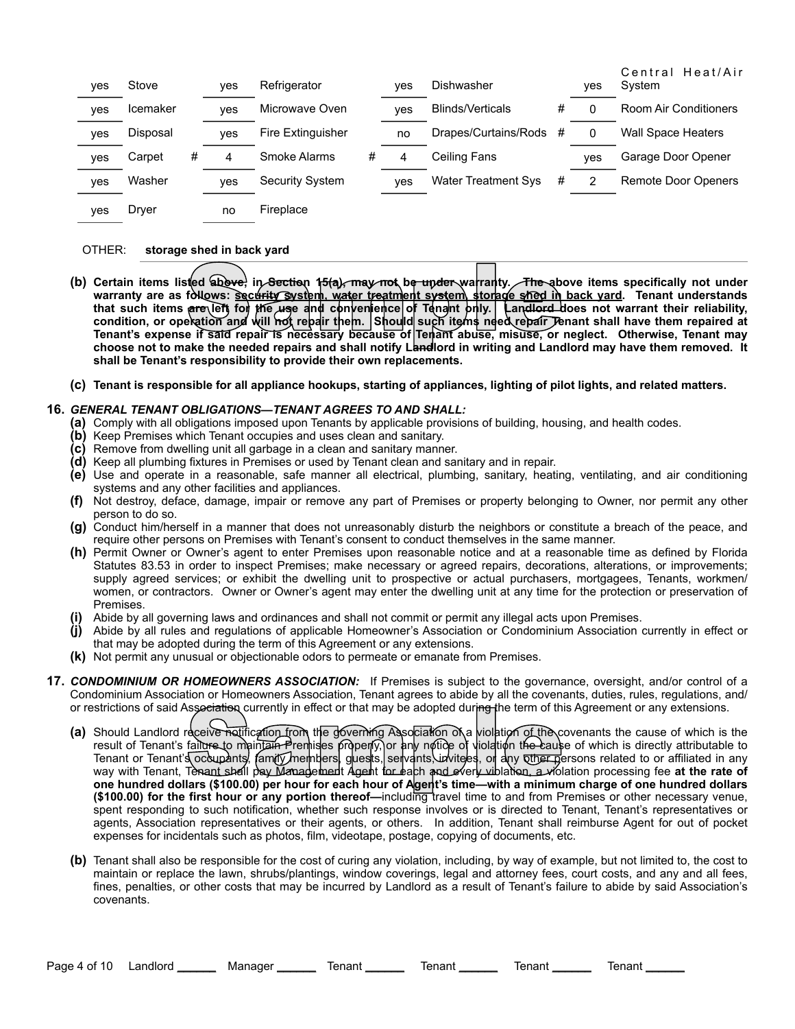| yes | Stove    |   | ves | Refrigerator           |   | <b>ves</b> | <b>Dishwasher</b>          |   | <b>ves</b> | Central Heat/Air<br>System |
|-----|----------|---|-----|------------------------|---|------------|----------------------------|---|------------|----------------------------|
| yes | Icemaker |   | ves | Microwave Oven         |   | <b>ves</b> | <b>Blinds/Verticals</b>    | # |            | Room Air Conditioners      |
| yes | Disposal |   | ves | Fire Extinguisher      |   | no         | Drapes/Curtains/Rods       | # | 0          | <b>Wall Space Heaters</b>  |
| yes | Carpet   | # | 4   | Smoke Alarms           | # | 4          | Ceiling Fans               |   | ves        | Garage Door Opener         |
| yes | Washer   |   | ves | <b>Security System</b> |   | ves        | <b>Water Treatment Sys</b> | # |            | <b>Remote Door Openers</b> |
| yes | Drver    |   | no  | Fireplace              |   |            |                            |   |            |                            |

## OTHER: **storage shed in back yard**

- (b) Certain items listed above, in Section 15(a), may not be under warranty. The above items specifically not under **warranty are as follows: security system, water treatment system, storage shed in back yard. Tenant understands that such items are left for the use and convenience of Tenant only. Landlord does not warrant their reliability, condition, or operation and will not repair them. Should such items need repair Tenant shall have them repaired at The above items listed above, in Section 15(a), may not be under warranty.** The above items specifically not under warranty are as follows: Security System, water treatment system storage shed in back yard. Tenant underst **choose not to make the needed repairs and shall notify Landlord in writing and Landlord may have them removed. It shall be Tenant's responsibility to provide their own replacements.**
- **(c) Tenant is responsible for all appliance hookups, starting of appliances, lighting of pilot lights, and related matters.**

#### **16.** *GENERAL TENANT OBLIGATIONS—TENANT AGREES TO AND SHALL:*

- **(a)** Comply with all obligations imposed upon Tenants by applicable provisions of building, housing, and health codes.
- **(b)** Keep Premises which Tenant occupies and uses clean and sanitary.
- **(c)** Remove from dwelling unit all garbage in a clean and sanitary manner.
- **(d)** Keep all plumbing fixtures in Premises or used by Tenant clean and sanitary and in repair.
- **(e)** Use and operate in a reasonable, safe manner all electrical, plumbing, sanitary, heating, ventilating, and air conditioning systems and any other facilities and appliances.
- **(f)** Not destroy, deface, damage, impair or remove any part of Premises or property belonging to Owner, nor permit any other person to do so.
- **(g)** Conduct him/herself in a manner that does not unreasonably disturb the neighbors or constitute a breach of the peace, and require other persons on Premises with Tenant's consent to conduct themselves in the same manner.
- **(h)** Permit Owner or Owner's agent to enter Premises upon reasonable notice and at a reasonable time as defined by Florida Statutes 83.53 in order to inspect Premises; make necessary or agreed repairs, decorations, alterations, or improvements; supply agreed services; or exhibit the dwelling unit to prospective or actual purchasers, mortgagees, Tenants, workmen/ women, or contractors. Owner or Owner's agent may enter the dwelling unit at any time for the protection or preservation of Premises.
- **(i)** Abide by all governing laws and ordinances and shall not commit or permit any illegal acts upon Premises.
- **(j)** Abide by all rules and regulations of applicable Homeowner's Association or Condominium Association currently in effect or that may be adopted during the term of this Agreement or any extensions.
- **(k)** Not permit any unusual or objectionable odors to permeate or emanate from Premises.
- **17.** *CONDOMINIUM OR HOMEOWNERS ASSOCIATION:* If Premises is subject to the governance, oversight, and/or control of a Condominium Association or Homeowners Association, Tenant agrees to abide by all the covenants, duties, rules, regulations, and/ or restrictions of said Association currently in effect or that may be adopted during the term of this Agreement or any extensions.
	- (a) Should Landlord receive notification from the governing Association of a violation of the covenants the cause of which is the result of Tenant's fail<del>ure t</del>o maintain Premises ριδρειμγ) or any notice of violation the cause of which is directly attributable to Tenant or Tenant's occupants, family members, guests, servants, invitees, or any <del>other p</del>ersons related to or affiliated in any way with Tenant, Tenant shall pay Management Agent for each and every violation, a violation processing fee **at the rate of one hundred dollars (\$100.00) per hour for each hour of Agent's time—with a minimum charge of one hundred dollars (\$100.00) for the first hour or any portion thereof—**including travel time to and from Premises or other necessary venue, spent responding to such notification, whether such response involves or is directed to Tenant, Tenant's representatives or agents, Association representatives or their agents, or others. In addition, Tenant shall reimburse Agent for out of pocket expenses for incidentals such as photos, film, videotape, postage, copying of documents, etc. Association currently in effect or that may be adopted during the term of the<br>receive notification from the governing Association of a violation of the c<br>failure to maintain Premises properly, or any notice of violation th
	- **(b)** Tenant shall also be responsible for the cost of curing any violation, including, by way of example, but not limited to, the cost to maintain or replace the lawn, shrubs/plantings, window coverings, legal and attorney fees, court costs, and any and all fees, fines, penalties, or other costs that may be incurred by Landlord as a result of Tenant's failure to abide by said Association's covenants.

Page 4 of 10 Landlord \_\_\_\_\_\_ Manager \_\_\_\_\_\_ Tenant \_\_\_\_\_\_ Tenant \_\_\_\_\_\_ Tenant \_\_\_\_\_ Tenant \_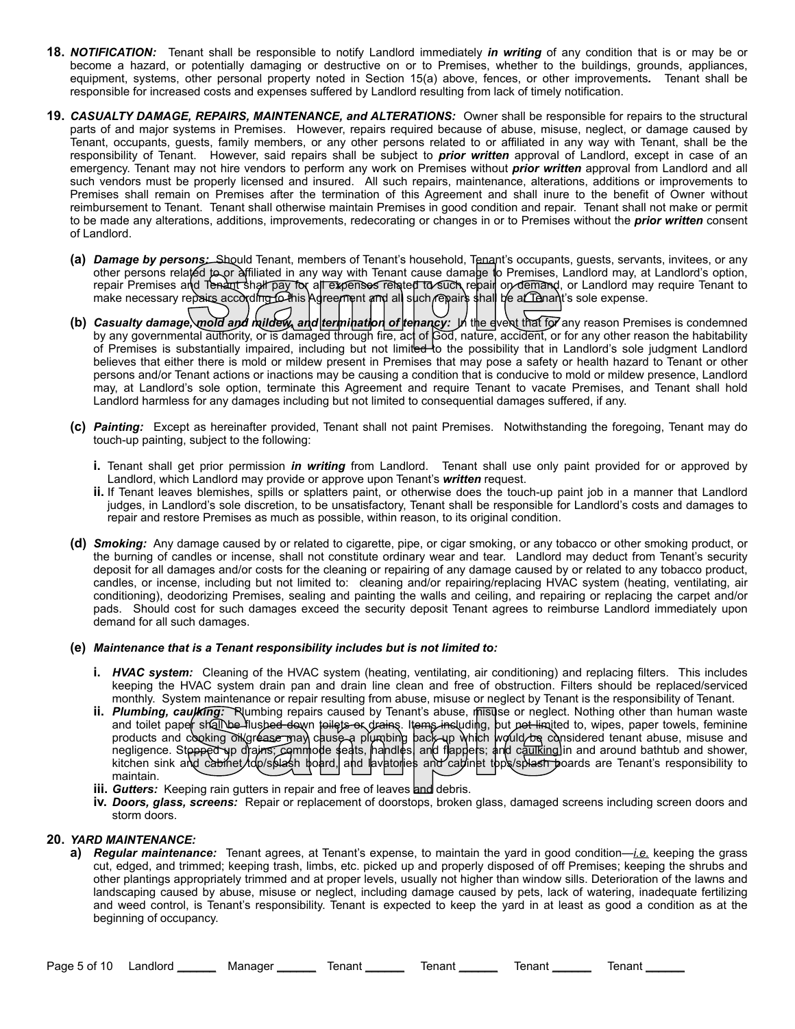- **18.** *NOTIFICATION:* Tenant shall be responsible to notify Landlord immediately *in writing* of any condition that is or may be or become a hazard, or potentially damaging or destructive on or to Premises, whether to the buildings, grounds, appliances, equipment, systems, other personal property noted in Section 15(a) above, fences, or other improvements*.* Tenant shall be responsible for increased costs and expenses suffered by Landlord resulting from lack of timely notification.
- **19.** *CASUALTY DAMAGE, REPAIRS, MAINTENANCE, and ALTERATIONS:* Owner shall be responsible for repairs to the structural parts of and major systems in Premises. However, repairs required because of abuse, misuse, neglect, or damage caused by Tenant, occupants, guests, family members, or any other persons related to or affiliated in any way with Tenant, shall be the responsibility of Tenant. However, said repairs shall be subject to *prior written* approval of Landlord, except in case of an emergency. Tenant may not hire vendors to perform any work on Premises without *prior written* approval from Landlord and all such vendors must be properly licensed and insured. All such repairs, maintenance, alterations, additions or improvements to Premises shall remain on Premises after the termination of this Agreement and shall inure to the benefit of Owner without reimbursement to Tenant. Tenant shall otherwise maintain Premises in good condition and repair. Tenant shall not make or permit to be made any alterations, additions, improvements, redecorating or changes in or to Premises without the *prior written* consent of Landlord.
	- **(a)** *Damage by persons:* Should Tenant, members of Tenant's household, Tenant's occupants, guests, servants, invitees, or any other persons related to or affiliated in any way with Tenant cause damage to Premises, Landlord may, at Landlord's option, repair Premises and Tenant shall pay for all expenses related to such repair on demand, or Landlord may require Tenant to make necessary repairs according to this Agreement and all such repairs shall be at Tenant's sole expense. Damage by persons: Should lenant, members of lenants nousehold, lenants occupants, guests, servants, invitees, or any<br>other persons related to or affiliated in any way with Tenant cause damage to Premises, Landlord may, at
	- **(b)** *Casualty damage, mold and mildew, and termination of tenancy:* In the event that for any reason Premises is condemned by any governmental authority, or is damaged through fire, act of God, nature, accident, or for any other reason the habitability believes that either there is mold or mildew present in Premises that may pose a safety or health hazard to Tenant or other persons and/or Tenant actions or inactions may be causing a condition that is conducive to mold or mildew presence, Landlord may, at Landlord's sole option, terminate this Agreement and require Tenant to vacate Premises, and Tenant shall hold Landlord harmless for any damages including but not limited to consequential damages suffered, if any.
	- **(c)** *Painting:* Except as hereinafter provided, Tenant shall not paint Premises. Notwithstanding the foregoing, Tenant may do touch-up painting, subject to the following:
		- **i.** Tenant shall get prior permission *in writing* from Landlord. Tenant shall use only paint provided for or approved by Landlord, which Landlord may provide or approve upon Tenant's *written* request.
		- **ii.** If Tenant leaves blemishes, spills or splatters paint, or otherwise does the touch-up paint job in a manner that Landlord judges, in Landlord's sole discretion, to be unsatisfactory, Tenant shall be responsible for Landlord's costs and damages to repair and restore Premises as much as possible, within reason, to its original condition.
	- **(d)** *Smoking:* Any damage caused by or related to cigarette, pipe, or cigar smoking, or any tobacco or other smoking product, or the burning of candles or incense, shall not constitute ordinary wear and tear. Landlord may deduct from Tenant's security deposit for all damages and/or costs for the cleaning or repairing of any damage caused by or related to any tobacco product, candles, or incense, including but not limited to: cleaning and/or repairing/replacing HVAC system (heating, ventilating, air conditioning), deodorizing Premises, sealing and painting the walls and ceiling, and repairing or replacing the carpet and/or pads. Should cost for such damages exceed the security deposit Tenant agrees to reimburse Landlord immediately upon demand for all such damages.

#### **(e)** *Maintenance that is a Tenant responsibility includes but is not limited to:*

- **i.** *HVAC system:* Cleaning of the HVAC system (heating, ventilating, air conditioning) and replacing filters. This includes keeping the HVAC system drain pan and drain line clean and free of obstruction. Filters should be replaced/serviced monthly. System maintenance or repair resulting from abuse, misuse or neglect by Tenant is the responsibility of Tenant.
- **ii.** *Plumbing, caulking:* Plumbing repairs caused by Tenant's abuse, misuse or neglect. Nothing other than human waste and toilet paper shall be flushed down toilets or drains. Items including, but not limited to, wipes, paper towels, feminine products and cooking oil/gréase may cause a plumbing back up which would be considered tenant abuse, misuse and negligence. Ste<del>pped u</del>p drains; commode seats, handles, and flappers; and caulking in and around bathtub and shower, kitchen sink and cabinet/top/splash board, and lavatories and cabinet tops/splash boards are Tenant's responsibility to maintain. with the Flumbing repairs caused by Tenant's abuse, misuse or neglecter stall the Flushed down to liets or drains. Items including, but not limited cooking of greats caused by Tenant's abuse, misuse or neglecter stall the
- **iii.** *Gutters:* Keeping rain gutters in repair and free of leaves and debris.
- **iv.** *Doors, glass, screens:* Repair or replacement of doorstops, broken glass, damaged screens including screen doors and storm doors.

#### **20.** *YARD MAINTENANCE:*

**a)** *Regular maintenance:* Tenant agrees, at Tenant's expense, to maintain the yard in good condition—*i.e.* keeping the grass cut, edged, and trimmed; keeping trash, limbs, etc. picked up and properly disposed of off Premises; keeping the shrubs and other plantings appropriately trimmed and at proper levels, usually not higher than window sills. Deterioration of the lawns and landscaping caused by abuse, misuse or neglect, including damage caused by pets, lack of watering, inadequate fertilizing and weed control, is Tenant's responsibility. Tenant is expected to keep the yard in at least as good a condition as at the beginning of occupancy.

Page 5 of 10 Landlord \_\_\_\_\_\_ Manager \_\_\_\_\_\_ Tenant \_\_\_\_\_\_ Tenant \_\_\_\_\_\_ Tenant \_\_\_\_\_\_ Tenant \_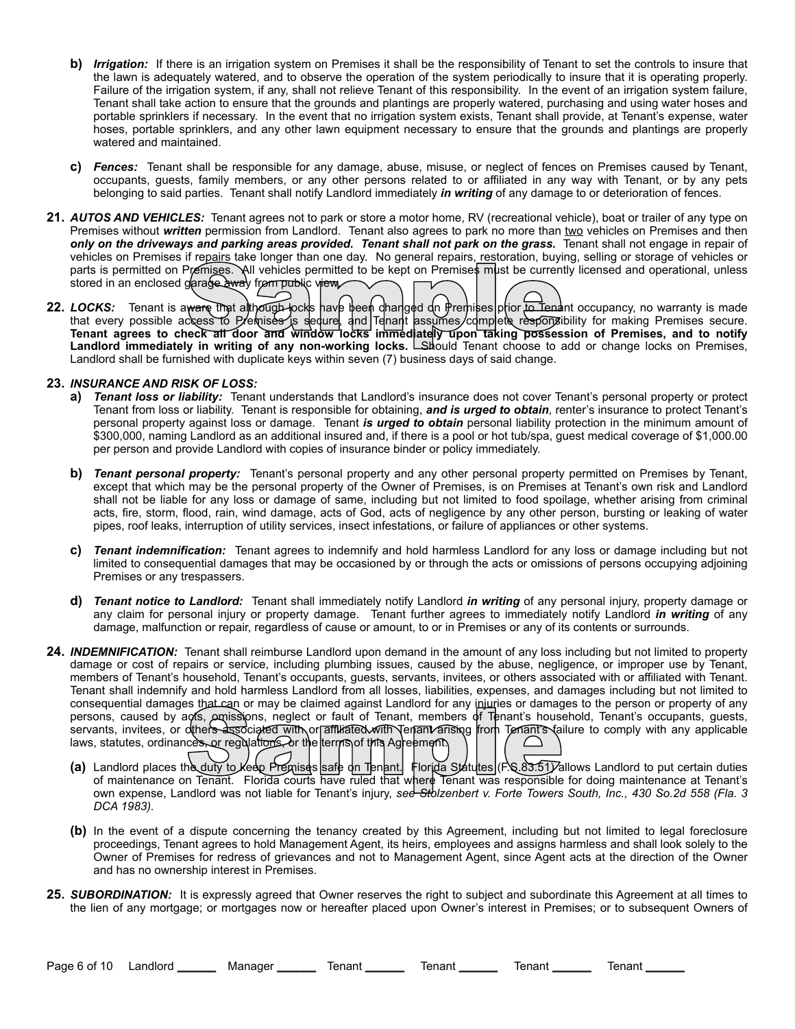- **b)** *Irrigation:* If there is an irrigation system on Premises it shall be the responsibility of Tenant to set the controls to insure that the lawn is adequately watered, and to observe the operation of the system periodically to insure that it is operating properly. Failure of the irrigation system, if any, shall not relieve Tenant of this responsibility. In the event of an irrigation system failure, Tenant shall take action to ensure that the grounds and plantings are properly watered, purchasing and using water hoses and portable sprinklers if necessary. In the event that no irrigation system exists, Tenant shall provide, at Tenant's expense, water hoses, portable sprinklers, and any other lawn equipment necessary to ensure that the grounds and plantings are properly watered and maintained.
- **c)** *Fences:* Tenant shall be responsible for any damage, abuse, misuse, or neglect of fences on Premises caused by Tenant, occupants, guests, family members, or any other persons related to or affiliated in any way with Tenant, or by any pets belonging to said parties. Tenant shall notify Landlord immediately *in writing* of any damage to or deterioration of fences.
- **21.** *AUTOS AND VEHICLES:* Tenant agrees not to park or store a motor home, RV (recreational vehicle), boat or trailer of any type on Premises without *written* permission from Landlord. Tenant also agrees to park no more than two vehicles on Premises and then *only on the driveways and parking areas provided. Tenant shall not park on the grass.* Tenant shall not engage in repair of vehicles on Premises if repairs take longer than one day. No general repairs, restoration, buying, selling or storage of vehicles or parts is permitted on Premises. All vehicles permitted to be kept on Premises must be currently licensed and operational, unless stored in an enclosed garage away from public view
- **22.** *LOCKS:* Tenant is aware that although locks have been changed on Premises prior to Tenant occupancy, no warranty is made that every possible access to P/emises is sedure, and Tenant assumes/complete responsibility for making Premises secure. **Tenant agrees to check all door and window locks immediately upon taking possession of Premises, and to notify**  Landlord immediately in writing of any non-working locks. Labould Tenant choose to add or change locks on Premises, Landlord shall be furnished with duplicate keys within seven (7) business days of said change. Premises. All vehicles permitted to be kept on Premises must be current<br>garage away from public view<br>ware that although pocks have been changed on Premises prior to Tena<br>ckess to Premises is sequre, and Tenant assumes comp

## **23.** *INSURANCE AND RISK OF LOSS:*

- **a)** *Tenant loss or liability:* Tenant understands that Landlord's insurance does not cover Tenant's personal property or protect Tenant from loss or liability. Tenant is responsible for obtaining, *and is urged to obtain*, renter's insurance to protect Tenant's personal property against loss or damage. Tenant *is urged to obtain* personal liability protection in the minimum amount of \$300,000, naming Landlord as an additional insured and, if there is a pool or hot tub/spa, guest medical coverage of \$1,000.00 per person and provide Landlord with copies of insurance binder or policy immediately.
- **b)** *Tenant personal property:* Tenant's personal property and any other personal property permitted on Premises by Tenant, except that which may be the personal property of the Owner of Premises, is on Premises at Tenant's own risk and Landlord shall not be liable for any loss or damage of same, including but not limited to food spoilage, whether arising from criminal acts, fire, storm, flood, rain, wind damage, acts of God, acts of negligence by any other person, bursting or leaking of water pipes, roof leaks, interruption of utility services, insect infestations, or failure of appliances or other systems.
- **c)** *Tenant indemnification:* Tenant agrees to indemnify and hold harmless Landlord for any loss or damage including but not limited to consequential damages that may be occasioned by or through the acts or omissions of persons occupying adjoining Premises or any trespassers.
- **d)** *Tenant notice to Landlord:* Tenant shall immediately notify Landlord *in writing* of any personal injury, property damage or any claim for personal injury or property damage. Tenant further agrees to immediately notify Landlord *in writing* of any damage, malfunction or repair, regardless of cause or amount, to or in Premises or any of its contents or surrounds.
- **24.** *INDEMNIFICATION:* Tenant shall reimburse Landlord upon demand in the amount of any loss including but not limited to property damage or cost of repairs or service, including plumbing issues, caused by the abuse, negligence, or improper use by Tenant, members of Tenant's household, Tenant's occupants, guests, servants, invitees, or others associated with or affiliated with Tenant. Tenant shall indemnify and hold harmless Landlord from all losses, liabilities, expenses, and damages including but not limited to consequential damages that can or may be claimed against Landlord for any injuries or damages to the person or property of any persons, caused by acts, omissions, neglect or fault of Tenant, members of Tenant's household, Tenant's occupants, guests, servants, invitees, or others associated with or affiliated with Tenant arising from Tenant's failure to comply with any applicable laws, statutes, ordinances, or regulations, or the terms of this Agreement. of maintenance on Tenant. Florida courts have ruled that where Tenant were Tenant is household, Tenant's occupants, guests, and by acts, amissions, neglect or fault of Tenant, members of Tenant's household, Tenant's occupa
	- **(a)** Landlord places the duty to keep Premises safe on Tenant. Florida Statutes (FS 83.51) allows Landlord to put certain duties own expense, Landlord was not liable for Tenant's injury, *see Stolzenbert v. Forte Towers South, Inc., 430 So.2d 558 (Fla. 3 DCA 1983).*
	- **(b)** In the event of a dispute concerning the tenancy created by this Agreement, including but not limited to legal foreclosure proceedings, Tenant agrees to hold Management Agent, its heirs, employees and assigns harmless and shall look solely to the Owner of Premises for redress of grievances and not to Management Agent, since Agent acts at the direction of the Owner and has no ownership interest in Premises.
- **25.** *SUBORDINATION:* It is expressly agreed that Owner reserves the right to subject and subordinate this Agreement at all times to the lien of any mortgage; or mortgages now or hereafter placed upon Owner's interest in Premises; or to subsequent Owners of

Page 6 of 10 Landlord \_\_\_\_\_\_ Manager \_\_\_\_\_\_ Tenant \_\_\_\_\_\_ Tenant \_\_\_\_\_\_ Tenant \_\_\_\_\_\_ Tenant \_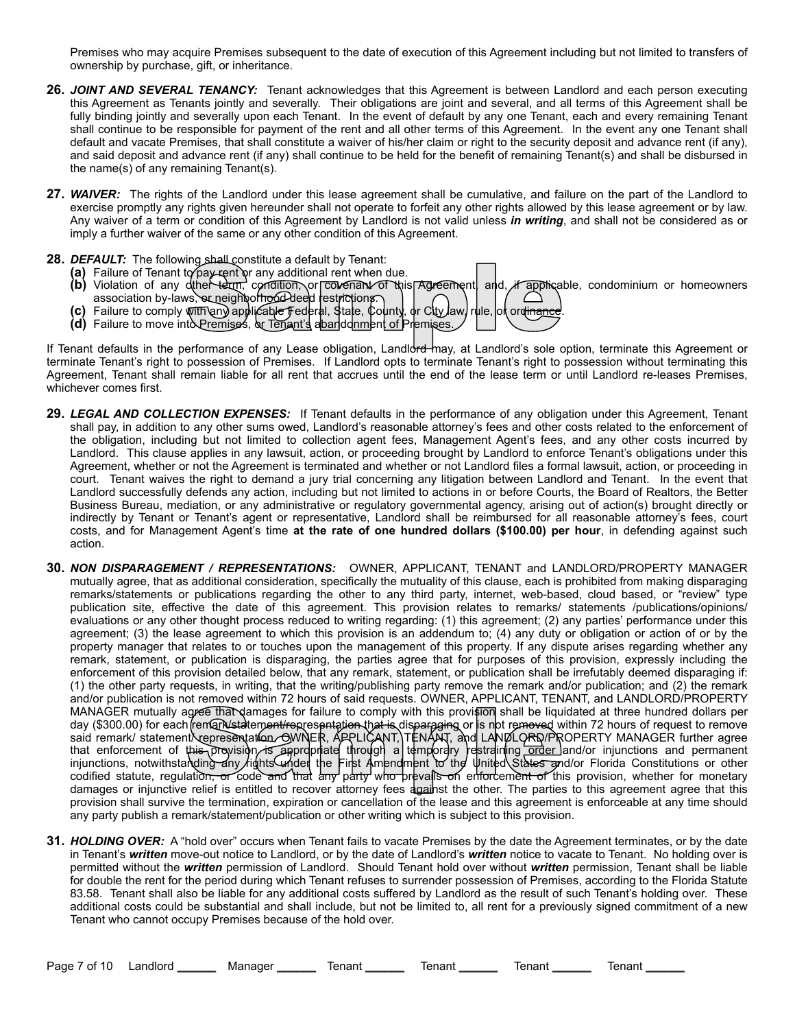Premises who may acquire Premises subsequent to the date of execution of this Agreement including but not limited to transfers of ownership by purchase, gift, or inheritance.

- **26.** *JOINT AND SEVERAL TENANCY:* Tenant acknowledges that this Agreement is between Landlord and each person executing this Agreement as Tenants jointly and severally. Their obligations are joint and several, and all terms of this Agreement shall be fully binding jointly and severally upon each Tenant. In the event of default by any one Tenant, each and every remaining Tenant shall continue to be responsible for payment of the rent and all other terms of this Agreement. In the event any one Tenant shall default and vacate Premises, that shall constitute a waiver of his/her claim or right to the security deposit and advance rent (if any), and said deposit and advance rent (if any) shall continue to be held for the benefit of remaining Tenant(s) and shall be disbursed in the name(s) of any remaining Tenant(s).
- **27.** *WAIVER:* The rights of the Landlord under this lease agreement shall be cumulative, and failure on the part of the Landlord to exercise promptly any rights given hereunder shall not operate to forfeit any other rights allowed by this lease agreement or by law. Any waiver of a term or condition of this Agreement by Landlord is not valid unless *in writing*, and shall not be considered as or imply a further waiver of the same or any other condition of this Agreement.
- **28.** *DEFAULT:* The following shall constitute a default by Tenant:
	- **(a)** Failure of Tenant to pay rent or any additional rent when due.
	- **(b)** Violation of any dther term, condition, or covenant of this Agreement, and *i*f applicable, condominium or homeowners association by-laws, or neighborhood deed restrictions. ing shall constitute a default by lenant:<br>
	to pay rent or any additional rent when due.<br>
	dthere term, condition, or colvenant of this Agreement and, if applica<br>
	ws, or neighborhood deed restrictions.<br>
	With any applicable F
	- **(c)** Failure to comply with any applicable Federal, State, County, or City law, rule, or ordinance.
	- **(d)** Failure to move into Premises, or Tenant's abandonment of Premises.

If Tenant defaults in the performance of any Lease obligation, Landlord may, at Landlord's sole option, terminate this Agreement or terminate Tenant's right to possession of Premises. If Landlord opts to terminate Tenant's right to possession without terminating this Agreement, Tenant shall remain liable for all rent that accrues until the end of the lease term or until Landlord re-leases Premises, whichever comes first.

- **29.** *LEGAL AND COLLECTION EXPENSES:* If Tenant defaults in the performance of any obligation under this Agreement, Tenant shall pay, in addition to any other sums owed, Landlord's reasonable attorney's fees and other costs related to the enforcement of the obligation, including but not limited to collection agent fees, Management Agent's fees, and any other costs incurred by Landlord. This clause applies in any lawsuit, action, or proceeding brought by Landlord to enforce Tenant's obligations under this Agreement, whether or not the Agreement is terminated and whether or not Landlord files a formal lawsuit, action, or proceeding in court. Tenant waives the right to demand a jury trial concerning any litigation between Landlord and Tenant. In the event that Landlord successfully defends any action, including but not limited to actions in or before Courts, the Board of Realtors, the Better Business Bureau, mediation, or any administrative or regulatory governmental agency, arising out of action(s) brought directly or indirectly by Tenant or Tenant's agent or representative, Landlord shall be reimbursed for all reasonable attorney's fees, court costs, and for Management Agent's time **at the rate of one hundred dollars (\$100.00) per hour**, in defending against such action.
- **30.** *NON DISPARAGEMENT / REPRESENTATIONS:*OWNER, APPLICANT, TENANT and LANDLORD/PROPERTY MANAGER mutually agree, that as additional consideration, specifically the mutuality of this clause, each is prohibited from making disparaging remarks/statements or publications regarding the other to any third party, internet, web-based, cloud based, or "review" type publication site, effective the date of this agreement. This provision relates to remarks/ statements /publications/opinions/ evaluations or any other thought process reduced to writing regarding: (1) this agreement; (2) any parties' performance under this agreement; (3) the lease agreement to which this provision is an addendum to; (4) any duty or obligation or action of or by the property manager that relates to or touches upon the management of this property. If any dispute arises regarding whether any remark, statement, or publication is disparaging, the parties agree that for purposes of this provision, expressly including the enforcement of this provision detailed below, that any remark, statement, or publication shall be irrefutably deemed disparaging if: (1) the other party requests, in writing, that the writing/publishing party remove the remark and/or publication; and (2) the remark and/or publication is not removed within 72 hours of said requests. OWNER, APPLICANT, TENANT, and LANDLORD/PROPERTY MANAGER mutually agree that damages for failure to comply with this provision shall be liquidated at three hundred dollars per day (\$300.00) for each (remark/stateme<del>nt/re</del>presentation tha<del>t is</del> disparaging or is not removed within 72 hours of request to remove said remark/ statementXrepresentation. OWNER, APPLICANT, TENANT, and LANDLORD/PROPERTY MANAGER further agree that enforcement of this provision is appropriate through a temporary restraining order land/or injunctions and permanent injunctions, notwithstanding any /rights under the First Amendment to the United States and/or Florida Constitutions or other codified statute, regulatio<del>n, or code and that</del> any party who prevails on enforcement of this provision, whether for monetary damages or injunctive relief is entitled to recover attorney fees against the other. The parties to this agreement agree that this provision shall survive the termination, expiration or cancellation of the lease and this agreement is enforceable at any time should any party publish a remark/statement/publication or other writing which is subject to this provision. agree that damages for failure to comply with this provision shall be liquided in (remark/statement/representation that is disparaging or is not removed with representation. GWNER, APPLICANT, TENANT, and LANDLORD/PR this p
- **31.** *HOLDING OVER:* A "hold over" occurs when Tenant fails to vacate Premises by the date the Agreement terminates, or by the date in Tenant's *written* move-out notice to Landlord, or by the date of Landlord's *written* notice to vacate to Tenant. No holding over is permitted without the *written* permission of Landlord. Should Tenant hold over without *written* permission, Tenant shall be liable for double the rent for the period during which Tenant refuses to surrender possession of Premises, according to the Florida Statute 83.58. Tenant shall also be liable for any additional costs suffered by Landlord as the result of such Tenant's holding over. These additional costs could be substantial and shall include, but not be limited to, all rent for a previously signed commitment of a new Tenant who cannot occupy Premises because of the hold over.

Page 7 of 10 Landlord \_\_\_\_\_\_ Manager \_\_\_\_\_\_ Tenant \_\_\_\_\_\_ Tenant \_\_\_\_\_\_ Tenant \_\_\_\_\_\_ Tenant \_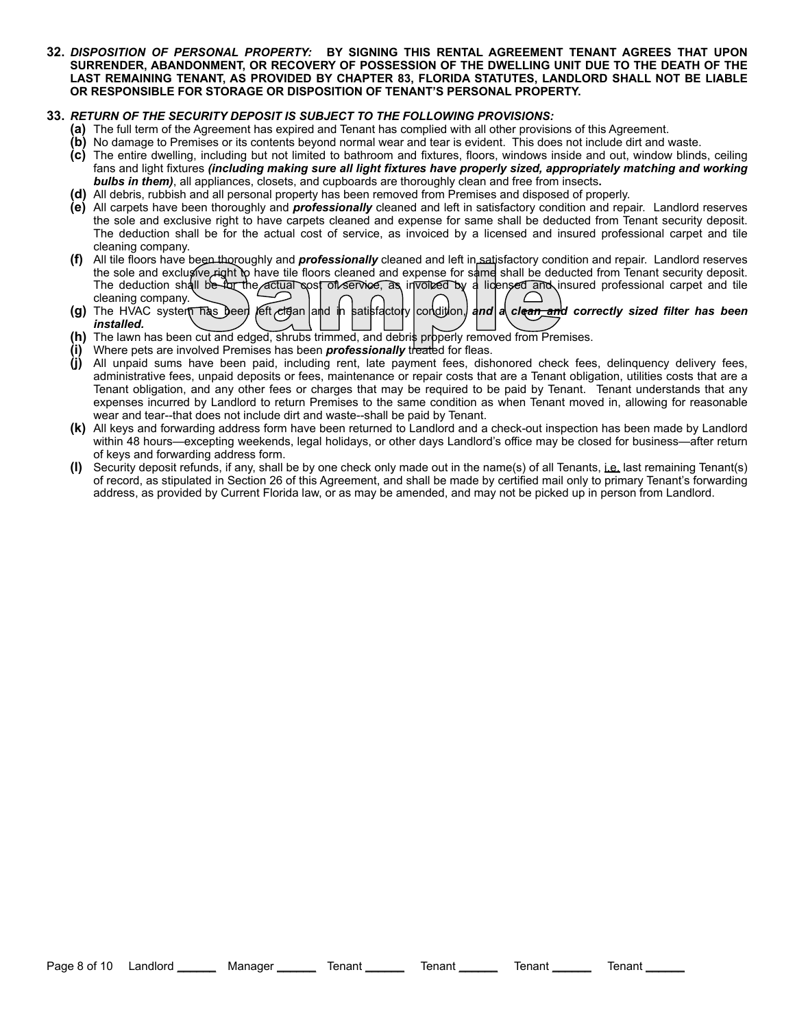**32.** *DISPOSITION OF PERSONAL PROPERTY:* **BY SIGNING THIS RENTAL AGREEMENT TENANT AGREES THAT UPON SURRENDER, ABANDONMENT, OR RECOVERY OF POSSESSION OF THE DWELLING UNIT DUE TO THE DEATH OF THE LAST REMAINING TENANT, AS PROVIDED BY CHAPTER 83, FLORIDA STATUTES, LANDLORD SHALL NOT BE LIABLE OR RESPONSIBLE FOR STORAGE OR DISPOSITION OF TENANT'S PERSONAL PROPERTY.**

# **33.** *RETURN OF THE SECURITY DEPOSIT IS SUBJECT TO THE FOLLOWING PROVISIONS:*

- **(a)** The full term of the Agreement has expired and Tenant has complied with all other provisions of this Agreement.
- **(b)** No damage to Premises or its contents beyond normal wear and tear is evident. This does not include dirt and waste.
- **(c)** The entire dwelling, including but not limited to bathroom and fixtures, floors, windows inside and out, window blinds, ceiling fans and light fixtures *(including making sure all light fixtures have properly sized, appropriately matching and working bulbs in them)*, all appliances, closets, and cupboards are thoroughly clean and free from insects**.**
- **(d)** All debris, rubbish and all personal property has been removed from Premises and disposed of properly.
- **(e)** All carpets have been thoroughly and *professionally* cleaned and left in satisfactory condition and repair. Landlord reserves the sole and exclusive right to have carpets cleaned and expense for same shall be deducted from Tenant security deposit. The deduction shall be for the actual cost of service, as invoiced by a licensed and insured professional carpet and tile cleaning company.
- **(f)** All tile floors have been thoroughly and *professionally* cleaned and left in satisfactory condition and repair. Landlord reserves the sole and exclusive right to have tile floors cleaned and expense for same shall be deducted from Tenant security deposit. The deduction shall be for the actual cost of service, as invoiced by a licensed and insured professional carpet and tile cleaning company. been moroughly and **professionally** cleaned and left in satisfactory conduitive right to have tile floors cleaned and expense for same shall be ded<br>all be for the actual cost of service, as involved by a licensed and in<br>th
- **(g)** The HVAC system has been *feft clean* and in satisfactory condition, and a clean and correctly sized filter has been *installed.*
- **(h)** The lawn has been cut and edged, shrubs trimmed, and debris properly removed from Premises.
- Where pets are involved Premises has been *professionally* treated for fleas.
- **(j)** All unpaid sums have been paid, including rent, late payment fees, dishonored check fees, delinquency delivery fees, administrative fees, unpaid deposits or fees, maintenance or repair costs that are a Tenant obligation, utilities costs that are a Tenant obligation, and any other fees or charges that may be required to be paid by Tenant. Tenant understands that any expenses incurred by Landlord to return Premises to the same condition as when Tenant moved in, allowing for reasonable wear and tear--that does not include dirt and waste--shall be paid by Tenant.
- **(k)** All keys and forwarding address form have been returned to Landlord and a check-out inspection has been made by Landlord within 48 hours—excepting weekends, legal holidays, or other days Landlord's office may be closed for business—after return of keys and forwarding address form.
- **(l)** Security deposit refunds, if any, shall be by one check only made out in the name(s) of all Tenants, i.e. last remaining Tenant(s) of record, as stipulated in Section 26 of this Agreement, and shall be made by certified mail only to primary Tenant's forwarding address, as provided by Current Florida law, or as may be amended, and may not be picked up in person from Landlord.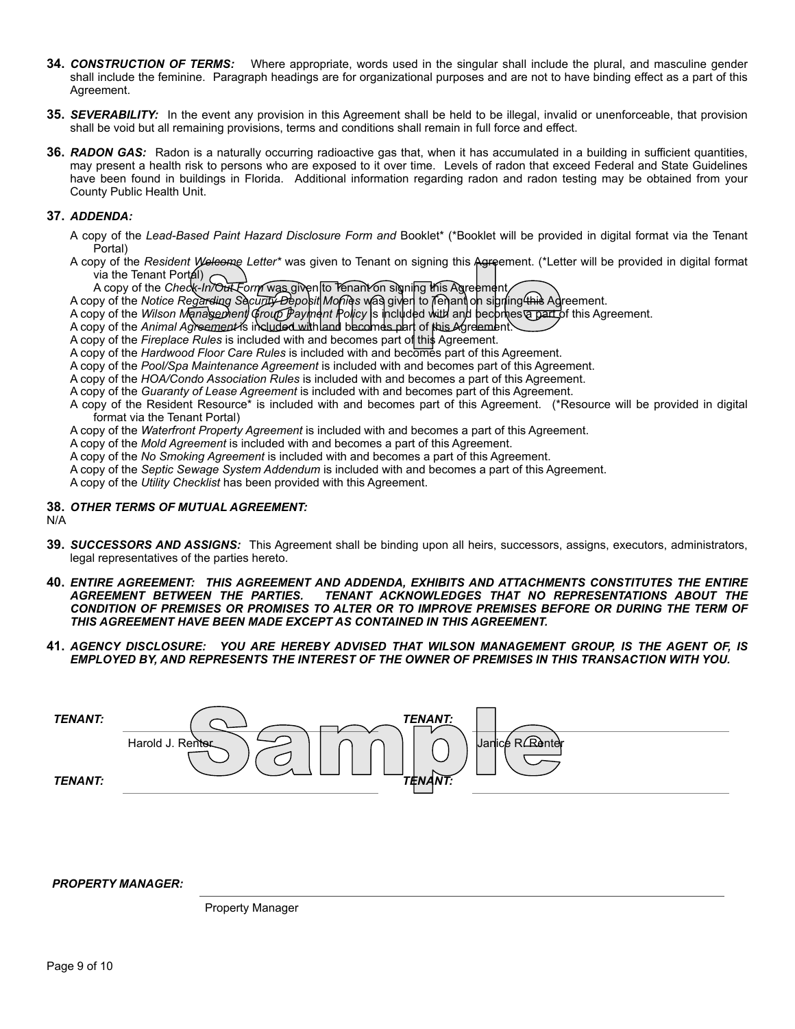- **34.** *CONSTRUCTION OF TERMS:* Where appropriate, words used in the singular shall include the plural, and masculine gender shall include the feminine. Paragraph headings are for organizational purposes and are not to have binding effect as a part of this Agreement.
- **35.** *SEVERABILITY:* In the event any provision in this Agreement shall be held to be illegal, invalid or unenforceable, that provision shall be void but all remaining provisions, terms and conditions shall remain in full force and effect.
- **36.** *RADON GAS:* Radon is a naturally occurring radioactive gas that, when it has accumulated in a building in sufficient quantities, may present a health risk to persons who are exposed to it over time. Levels of radon that exceed Federal and State Guidelines have been found in buildings in Florida. Additional information regarding radon and radon testing may be obtained from your County Public Health Unit.

## **37.** *ADDENDA:*

- A copy of the *Lead-Based Paint Hazard Disclosure Form and* Booklet\* (\*Booklet will be provided in digital format via the Tenant Portal)
- A copy of the *Resident Welcome Letter\** was given to Tenant on signing this Agreement. (\*Letter will be provided in digital format via the Tenant Portal) of Welcome Letter\* was given to Tenant on signing this Agreement. (\*Letter\* was given to Tenant on signing this Agreement<br>control of the Compact Control of the proposition of the proposition of the proposition of the propo
	- A copy of the *Check-In/Out Form* was given to Tenant on signing this Agreement
- A copy of the *Notice Regarding Security Deposit Monies* was given to Tenant on signing this Agreement.
- A copy of the *Wilson Management Group Payment Policy* is included with and becomes a part of this Agreement.
- A copy of the *Animal Agreement* is included with and becomes part of this Agreement.
- A copy of the *Fireplace Rules* is included with and becomes part of this Agreement.
- A copy of the *Hardwood Floor Care Rules* is included with and becomes part of this Agreement.
- A copy of the *Pool/Spa Maintenance Agreement* is included with and becomes part of this Agreement.
- A copy of the *HOA/Condo Association Rules* is included with and becomes a part of this Agreement.
- A copy of the *Guaranty of Lease Agreement* is included with and becomes part of this Agreement.
- A copy of the Resident Resource\* is included with and becomes part of this Agreement. (\*Resource will be provided in digital format via the Tenant Portal)
- A copy of the *Waterfront Property Agreement* is included with and becomes a part of this Agreement.
- A copy of the *Mold Agreement* is included with and becomes a part of this Agreement.
- A copy of the *No Smoking Agreement* is included with and becomes a part of this Agreement.
- A copy of the *Septic Sewage System Addendum* is included with and becomes a part of this Agreement.

A copy of the *Utility Checklist* has been provided with this Agreement.

#### **38.** *OTHER TERMS OF MUTUAL AGREEMENT:*

N/A

- **39.** *SUCCESSORS AND ASSIGNS:* This Agreement shall be binding upon all heirs, successors, assigns, executors, administrators, legal representatives of the parties hereto.
- **40.** *ENTIRE AGREEMENT: THIS AGREEMENT AND ADDENDA, EXHIBITS AND ATTACHMENTS CONSTITUTES THE ENTIRE AGREEMENT BETWEEN THE PARTIES. TENANT ACKNOWLEDGES THAT NO REPRESENTATIONS ABOUT THE CONDITION OF PREMISES OR PROMISES TO ALTER OR TO IMPROVE PREMISES BEFORE OR DURING THE TERM OF THIS AGREEMENT HAVE BEEN MADE EXCEPT AS CONTAINED IN THIS AGREEMENT.*
- **41.** *AGENCY DISCLOSURE: YOU ARE HEREBY ADVISED THAT WILSON MANAGEMENT GROUP, IS THE AGENT OF, IS EMPLOYED BY, AND REPRESENTS THE INTEREST OF THE OWNER OF PREMISES IN THIS TRANSACTION WITH YOU.*

| TENANT:        | <b>TENANT:</b>                             |
|----------------|--------------------------------------------|
|                | Janice R <b>Renter</b><br>Harold J. Renter |
| <b>TENANT:</b> | <b>TENANT:</b>                             |

*PROPERTY MANAGER:*

Property Manager